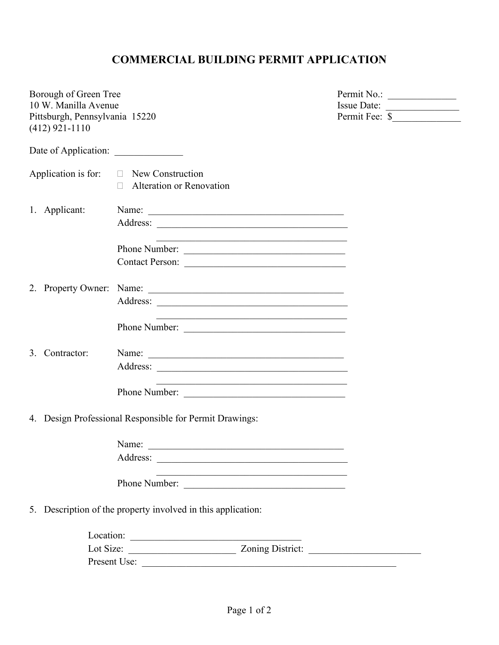## **COMMERCIAL BUILDING PERMIT APPLICATION**

|  | Borough of Green Tree                              |                                                              |                                                                                           |                |  |
|--|----------------------------------------------------|--------------------------------------------------------------|-------------------------------------------------------------------------------------------|----------------|--|
|  | 10 W. Manilla Avenue                               |                                                              |                                                                                           | Issue Date:    |  |
|  | Pittsburgh, Pennsylvania 15220<br>$(412)$ 921-1110 |                                                              |                                                                                           | Permit Fee: \$ |  |
|  |                                                    |                                                              |                                                                                           |                |  |
|  |                                                    |                                                              |                                                                                           |                |  |
|  |                                                    | Application is for: $\Box$ New Construction                  |                                                                                           |                |  |
|  |                                                    | □ Alteration or Renovation                                   |                                                                                           |                |  |
|  | 1. Applicant:                                      | Name:                                                        |                                                                                           |                |  |
|  |                                                    |                                                              |                                                                                           |                |  |
|  |                                                    | Phone Number:                                                | <u> 1989 - Johann Barn, fransk politik (d. 1989)</u>                                      |                |  |
|  |                                                    | Contact Person:                                              |                                                                                           |                |  |
|  |                                                    |                                                              |                                                                                           |                |  |
|  |                                                    |                                                              |                                                                                           |                |  |
|  |                                                    |                                                              |                                                                                           |                |  |
|  |                                                    | Phone Number:                                                | <u> 1989 - Johann Stein, marwolaethau (b. 1989)</u>                                       |                |  |
|  | 3. Contractor:                                     |                                                              |                                                                                           |                |  |
|  |                                                    |                                                              |                                                                                           |                |  |
|  |                                                    | Phone Number:                                                | the control of the control of the control of the control of the control of the control of |                |  |
|  |                                                    | 4. Design Professional Responsible for Permit Drawings:      |                                                                                           |                |  |
|  |                                                    |                                                              |                                                                                           |                |  |
|  |                                                    | Name:                                                        |                                                                                           |                |  |
|  |                                                    | Phone Number:                                                | the control of the control of the control of the control of the control of the control of |                |  |
|  |                                                    | 5. Description of the property involved in this application: |                                                                                           |                |  |
|  |                                                    |                                                              |                                                                                           |                |  |
|  |                                                    |                                                              |                                                                                           |                |  |
|  |                                                    |                                                              |                                                                                           |                |  |
|  |                                                    |                                                              |                                                                                           |                |  |